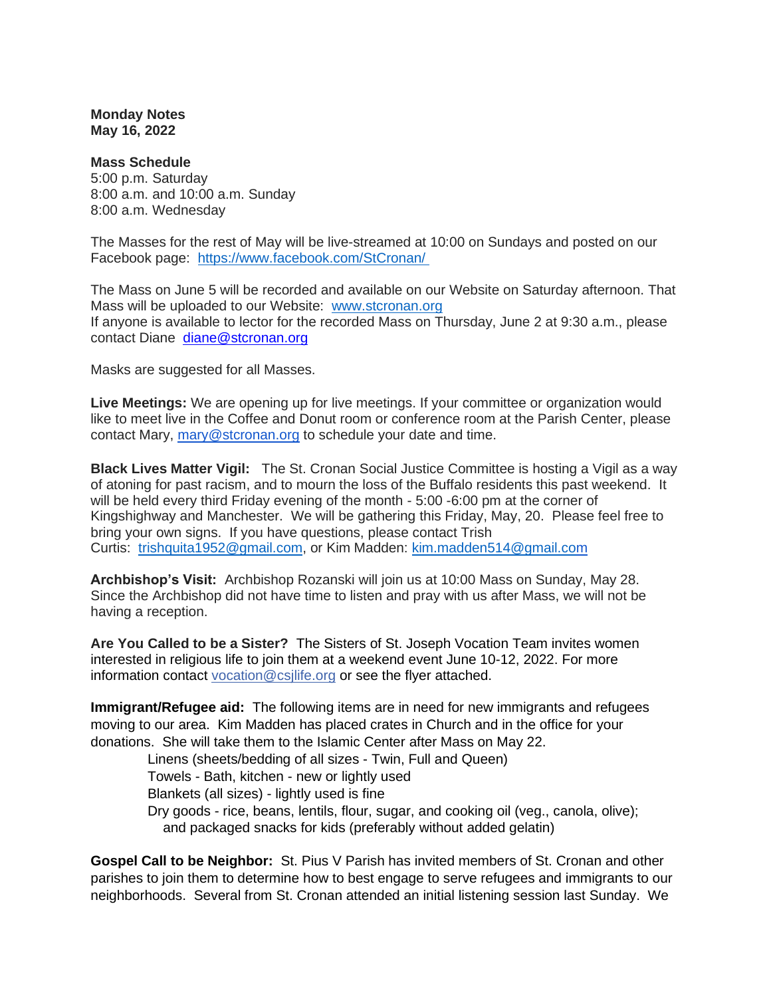**Monday Notes May 16, 2022**

**Mass Schedule** 5:00 p.m. Saturday 8:00 a.m. and 10:00 a.m. Sunday 8:00 a.m. Wednesday

The Masses for the rest of May will be live-streamed at 10:00 on Sundays and posted on our Facebook page: <https://www.facebook.com/StCronan/>

The Mass on June 5 will be recorded and available on our Website on Saturday afternoon. That Mass will be uploaded to our Website: [www.stcronan.org](http://www.stcronan.org/) If anyone is available to lector for the recorded Mass on Thursday, June 2 at 9:30 a.m., please contact Diane [diane@stcronan.org](mailto:diane@stcronan.org)

Masks are suggested for all Masses.

**Live Meetings:** We are opening up for live meetings. If your committee or organization would like to meet live in the Coffee and Donut room or conference room at the Parish Center, please contact Mary, [mary@stcronan.org](mailto:mary@stcronan.org) to schedule your date and time.

**Black Lives Matter Vigil:** The St. Cronan Social Justice Committee is hosting a Vigil as a way of atoning for past racism, and to mourn the loss of the Buffalo residents this past weekend. It will be held every third Friday evening of the month - 5:00 -6:00 pm at the corner of Kingshighway and Manchester. We will be gathering this Friday, May, 20. Please feel free to bring your own signs. If you have questions, please contact Trish Curtis: [trishquita1952@gmail.com,](mailto:trishquita1952@gmail.com) or Kim Madden: [kim.madden514@gmail.com](mailto:kim.madden514@gmail.com)

**Archbishop's Visit:** Archbishop Rozanski will join us at 10:00 Mass on Sunday, May 28. Since the Archbishop did not have time to listen and pray with us after Mass, we will not be having a reception.

**Are You Called to be a Sister?** The Sisters of St. Joseph Vocation Team invites women interested in religious life to join them at a weekend event June 10-12, 2022. For more information contact [vocation@csjlife.org](mailto:vocation@csjlife.org) or see the flyer attached.

**Immigrant/Refugee aid:** The following items are in need for new immigrants and refugees moving to our area. Kim Madden has placed crates in Church and in the office for your donations. She will take them to the Islamic Center after Mass on May 22.

Linens (sheets/bedding of all sizes - Twin, Full and Queen)

Towels - Bath, kitchen - new or lightly used

Blankets (all sizes) - lightly used is fine

Dry goods - rice, beans, lentils, flour, sugar, and cooking oil (veg., canola, olive); and packaged snacks for kids (preferably without added gelatin)

**Gospel Call to be Neighbor:** St. Pius V Parish has invited members of St. Cronan and other parishes to join them to determine how to best engage to serve refugees and immigrants to our neighborhoods. Several from St. Cronan attended an initial listening session last Sunday. We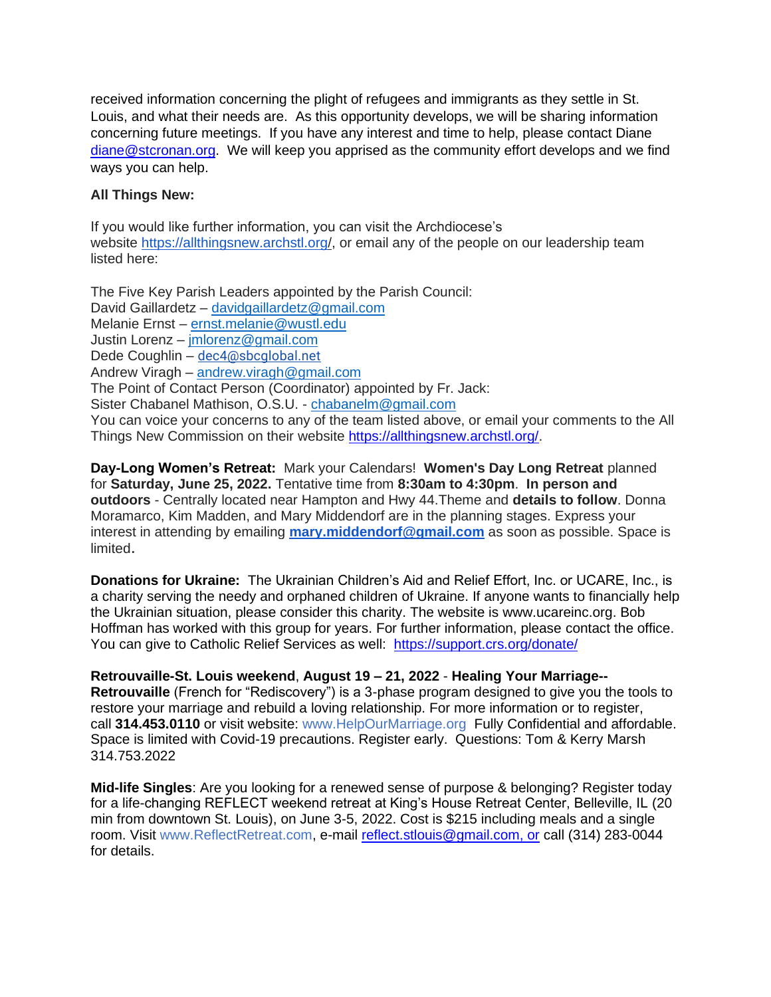received information concerning the plight of refugees and immigrants as they settle in St. Louis, and what their needs are. As this opportunity develops, we will be sharing information concerning future meetings. If you have any interest and time to help, please contact Diane [diane@stcronan.org.](mailto:diane@stcronan.org) We will keep you apprised as the community effort develops and we find ways you can help.

## **All Things New:**

If you would like further information, you can visit the Archdiocese's website <https://allthingsnew.archstl.org/>, or email any of the people on our leadership team listed here:

The Five Key Parish Leaders appointed by the Parish Council: David Gaillardetz – [davidgaillardetz@gmail.com](mailto:davidgaillardetz@gmail.com) Melanie Ernst – [ernst.melanie@wustl.edu](mailto:ernst.melanie@wustl.edu) Justin Lorenz – [jmlorenz@gmail.com](mailto:jmlorenz@gmail.com) Dede Coughlin – [dec4@sbcglobal.net](mailto:dec4@sbcglobal.net) Andrew Viragh – [andrew.viragh@gmail.com](mailto:andrew.viragh@gmail.com) The Point of Contact Person (Coordinator) appointed by Fr. Jack: Sister Chabanel Mathison, O.S.U. - [chabanelm@gmail.com](mailto:chabanelm@gmail.com) You can voice your concerns to any of the team listed above, or email your comments to the All Things New Commission on their website [https://allthingsnew.archstl.org/.](https://allthingsnew.archstl.org/)

**Day-Long Women's Retreat:** Mark your Calendars! **Women's Day Long Retreat** planned for **Saturday, June 25, 2022.** Tentative time from **8:30am to 4:30pm**. **In person and outdoors** - Centrally located near Hampton and Hwy 44.Theme and **details to follow**. Donna Moramarco, Kim Madden, and Mary Middendorf are in the planning stages. Express your interest in attending by emailing **[mary.middendorf@gmail.com](mailto:mary.middendorf@gmail.com)** as soon as possible. Space is limited.

**Donations for Ukraine:** The Ukrainian Children's Aid and Relief Effort, Inc. or UCARE, Inc., is a charity serving the needy and orphaned children of Ukraine. If anyone wants to financially help the Ukrainian situation, please consider this charity. The website is [www.ucareinc.org.](http://www.ucareinc.org/) Bob Hoffman has worked with this group for years. For further information, please contact the office. You can give to Catholic Relief Services as well: <https://support.crs.org/donate/>

**Retrouvaille-St. Louis weekend**, **August 19 – 21, 2022** - **Healing Your Marriage-- Retrouvaille** (French for "Rediscovery") is a 3-phase program designed to give you the tools to restore your marriage and rebuild a loving relationship. For more information or to register, call **314.453.0110** or visit website: [www.HelpOurMarriage.org](http://www.helpourmarriage.org/) Fully Confidential and affordable. Space is limited with Covid-19 precautions. Register early. Questions: Tom & Kerry Marsh 314.753.2022

**Mid-life Singles**: Are you looking for a renewed sense of purpose & belonging? Register today for a life-changing REFLECT weekend retreat at King's House Retreat Center, Belleville, IL (20 min from downtown St. Louis), on June 3-5, 2022. Cost is \$215 including meals and a single room. Visit [www.ReflectRetreat.com,](http://www.reflectretreat.com/) e-mail [reflect.stlouis@gmail.com, or](mailto:reflect.stlouis@gmail.com) call (314) 283-0044 for details.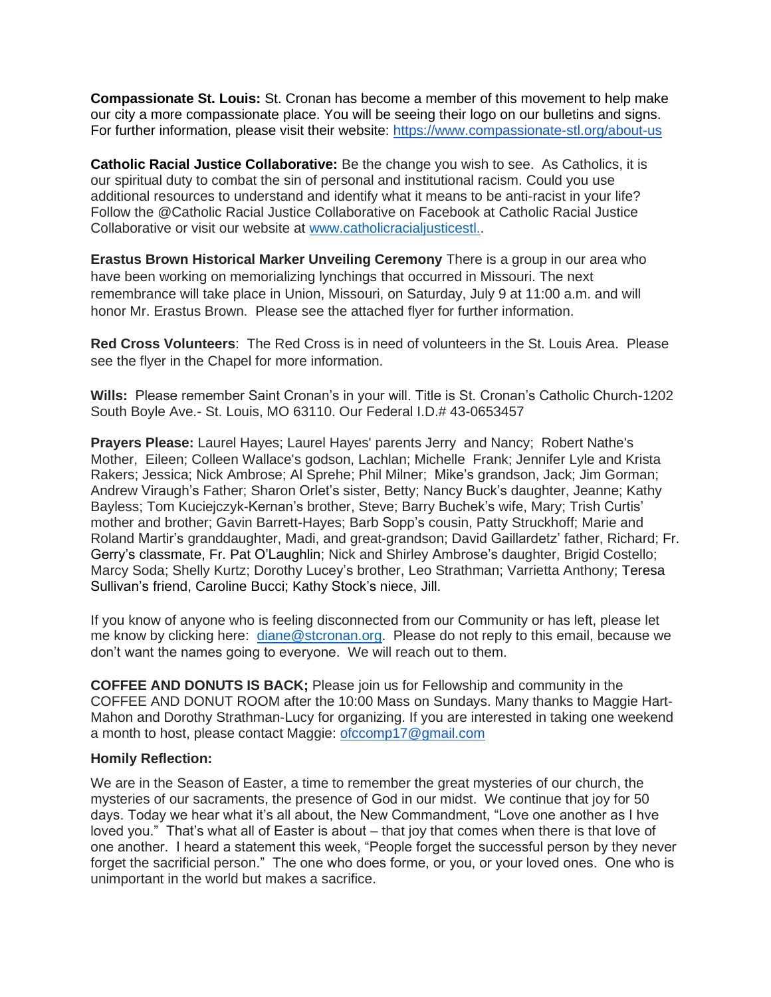**Compassionate St. Louis:** St. Cronan has become a member of this movement to help make our city a more compassionate place. You will be seeing their logo on our bulletins and signs. For further information, please visit their website: <https://www.compassionate-stl.org/about-us>

**Catholic Racial Justice Collaborative:** Be the change you wish to see. As Catholics, it is our spiritual duty to combat the sin of personal and institutional racism. Could you use additional resources to understand and identify what it means to be anti-racist in your life? Follow the @Catholic Racial Justice Collaborative on Facebook at Catholic Racial Justice Collaborative or visit our website at [www.catholicracialjusticestl..](http://www.catholicracialjusticestl.org/)

**Erastus Brown Historical Marker Unveiling Ceremony** There is a group in our area who have been working on memorializing lynchings that occurred in Missouri. The next remembrance will take place in Union, Missouri, on Saturday, July 9 at 11:00 a.m. and will honor Mr. Erastus Brown. Please see the attached flyer for further information.

**Red Cross Volunteers**: The Red Cross is in need of volunteers in the St. Louis Area. Please see the flyer in the Chapel for more information.

**Wills:** Please remember Saint Cronan's in your will. Title is St. Cronan's Catholic Church-1202 South Boyle Ave.- St. Louis, MO 63110. Our Federal I.D.# 43-0653457

**Prayers Please:** Laurel Hayes; Laurel Hayes' parents Jerry and Nancy; Robert Nathe's Mother, Eileen; Colleen Wallace's godson, Lachlan; Michelle Frank; Jennifer Lyle and Krista Rakers; Jessica; Nick Ambrose; Al Sprehe; Phil Milner; Mike's grandson, Jack; Jim Gorman; Andrew Viraugh's Father; Sharon Orlet's sister, Betty; Nancy Buck's daughter, Jeanne; Kathy Bayless; Tom Kuciejczyk-Kernan's brother, Steve; Barry Buchek's wife, Mary; Trish Curtis' mother and brother; Gavin Barrett-Hayes; Barb Sopp's cousin, Patty Struckhoff; Marie and Roland Martir's granddaughter, Madi, and great-grandson; David Gaillardetz' father, Richard; Fr. Gerry's classmate, Fr. Pat O'Laughlin; Nick and Shirley Ambrose's daughter, Brigid Costello; Marcy Soda; Shelly Kurtz; Dorothy Lucey's brother, Leo Strathman; Varrietta Anthony; Teresa Sullivan's friend, Caroline Bucci; Kathy Stock's niece, Jill.

If you know of anyone who is feeling disconnected from our Community or has left, please let me know by clicking here: [diane@stcronan.org.](mailto:diane@stcronan.org) Please do not reply to this email, because we don't want the names going to everyone. We will reach out to them.

**COFFEE AND DONUTS IS BACK;** Please join us for Fellowship and community in the COFFEE AND DONUT ROOM after the 10:00 Mass on Sundays. Many thanks to Maggie Hart-Mahon and Dorothy Strathman-Lucy for organizing. If you are interested in taking one weekend a month to host, please contact Maggie: ofccomp17@gmail.com

## **Homily Reflection:**

We are in the Season of Easter, a time to remember the great mysteries of our church, the mysteries of our sacraments, the presence of God in our midst. We continue that joy for 50 days. Today we hear what it's all about, the New Commandment, "Love one another as I hve loved you." That's what all of Easter is about – that joy that comes when there is that love of one another. I heard a statement this week, "People forget the successful person by they never forget the sacrificial person." The one who does forme, or you, or your loved ones. One who is unimportant in the world but makes a sacrifice.